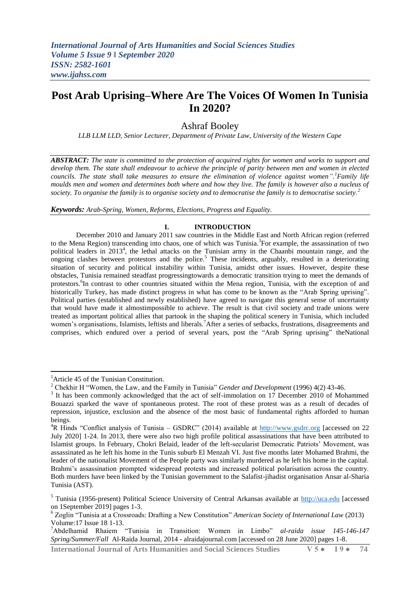# **Post Arab Uprising–Where Are The Voices Of Women In Tunisia In 2020?**

# Ashraf Booley

*LLB LLM LLD, Senior Lecturer, Department of Private Law, University of the Western Cape*

*ABSTRACT: The state is committed to the protection of acquired rights for women and works to support and develop them. The state shall endeavour to achieve the principle of parity between men and women in elected councils. The state shall take measures to ensure the elimination of violence against women". <sup>1</sup>Family life moulds men and women and determines both where and how they live. The family is however also a nucleus of society. To organise the family is to organise society and to democratise the family is to democratise society.<sup>2</sup>*

*Keywords: Arab-Spring, Women, Reforms, Elections, Progress and Equality.*

## **I. INTRODUCTION**

December 2010 and January 2011 saw countries in the Middle East and North African region (referred to the Mena Region) transcending into chaos, one of which was Tunisia.<sup>3</sup>For example, the assassination of two political leaders in 2013<sup>4</sup>, the lethal attacks on the Tunisian army in the Chaanbi mountain range, and the ongoing clashes between protestors and the police.<sup>5</sup> These incidents, arguably, resulted in a deteriorating situation of security and political instability within Tunisia, amidst other issues. However, despite these obstacles, Tunisia remained steadfast progressingtowards a democratic transition trying to meet the demands of protestors.<sup>6</sup>In contrast to other countries situated within the Mena region, Tunisia, with the exception of and historically Turkey, has made distinct progress in what has come to be known as the "Arab Spring uprising". Political parties (established and newly established) have agreed to navigate this general sense of uncertainty that would have made it almostimpossible to achieve. The result is that civil society and trade unions were treated as important political allies that partook in the shaping the political scenery in Tunisia, which included women's organisations, Islamists, leftists and liberals.<sup>7</sup>After a series of setbacks, frustrations, disagreements and comprises, which endured over a period of several years, post the "Arab Spring uprising" theNational

 $\overline{\phantom{a}}$ 

<sup>&</sup>lt;sup>1</sup> Article 45 of the Tunisian Constitution.

<sup>2</sup> Chekhir H "Women, the Law, and the Family in Tunisia" *Gender and Development* (1996) 4(2) 43-46.

<sup>&</sup>lt;sup>3</sup> It has been commonly acknowledged that the act of self-immolation on 17 December 2010 of Mohammed Bouazzi sparked the wave of spontaneous protest. The root of these protest was as a result of decades of repression, injustice, exclusion and the absence of the most basic of fundamental rights afforded to human beings.

<sup>&</sup>lt;sup>4</sup>R Hinds "Conflict analysis of Tunisia – GSDRC" (2014) available at [http://www.gsdrc.org](http://www.gsdrc.org/) [accessed on 22 July 2020] 1-24. In 2013, there were also two high profile political assassinations that have been attributed to Islamist groups. In February, Chokri Belaid, leader of the left-secularist Democratic Patriots" Movement, was assassinated as he left his home in the Tunis suburb El Menzah VI. Just five months later Mohamed Brahmi, the leader of the nationalist Movement of the People party was similarly murdered as he left his home in the capital. Brahmi"s assassination prompted widespread protests and increased political polarisation across the country. Both murders have been linked by the Tunisian government to the Salafist-jihadist organisation Ansar al-Sharia Tunisia (AST).

<sup>5</sup> Tunisia (1956-present) Political Science University of Central Arkansas available at [http://uca.edu](http://uca.edu/) [accessed on 1September 2019] pages 1-3.

<sup>6</sup> Zoglin "Tunisia at a Crossroads: Drafting a New Constitution" *American Society of International Law* (2013) Volume:17 Issue 18 1-13.

<sup>7</sup>Abdelhamid Rhaiem "Tunisia in Transition: Women in Limbo" *al-raida issue 145-146-147 Spring/Summer/Fall* Al-Raida Journal, 2014 - alraidajournal.com [accessed on 28 June 2020] pages 1-8.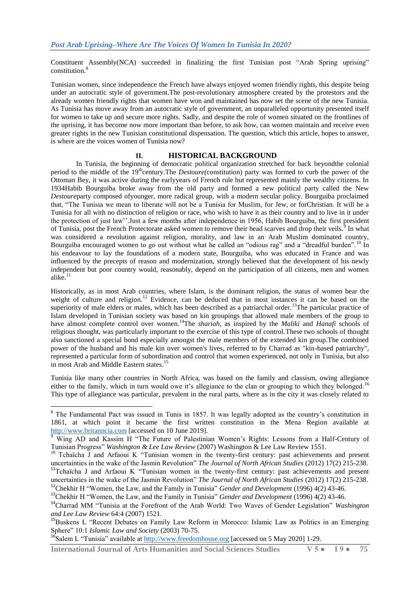Constituent Assembly(NCA) succeeded in finalizing the first Tunisian post "Arab Spring uprising" constitution.<sup>8</sup>

Tunisian women, since independence the French have always enjoyed women friendly rights, this despite being under an autocratic style of government.The post-revolutionary atmosphere created by the protestors and the already women friendly rights that women have won and maintained has now set the scene of the new Tunisia. As Tunisia has move away from an autocratic style of government, an unparalleled opportunity presented itself for women to take up and secure more rights. Sadly, and despite the role of women situated on the frontlines of the uprising, it has become now more important than before, to ask how, can women maintain and receive even greater rights in the new Tunisian constitutional dispensation. The question, which this article, hopes to answer, is where are the voices women of Tunisia now?

### **II. HISTORICAL BACKGROUND**

In Tunisia, the beginning of democratic political organization stretched for back beyondthe colonial period to the middle of the 19<sup>th</sup>century.The *Destoure*(constitution) party was formed to curb the power of the Ottoman Bey, it was active during the earlyyears of French rule but represented mainly the wealthy citizens. In 1934Habib Bourguiba broke away from the old party and formed a new political party called the New *Destoure*party composed ofyounger, more radical group, with a modern secular policy. Bourguiba proclaimed that, "The Tunisia we mean to liberate will not be a Tunisia for Muslim, for Jew, or forChristian. It will be a Tunisia for all with no distinction of religion or race, who wish to have it as their country and to live in it under the protection of just law"".Just a few months after independence in 1956, Habib Bourguiba, the first president of Tunisia, post the French Protectorate asked women to remove their head scarves and drop their veils.<sup>9</sup> In what was considered a revolution against religion, morality, and law in an Arab Muslim dominated country, Bourguiba encouraged women to go out without what he called an "odious rag" and a "dreadful burden".<sup>10</sup> In his endeavour to lay the foundations of a modern state, Bourguiba, who was educated in France and was influenced by the precepts of reason and modernization, strongly believed that the development of his newly independent but poor country would, reasonably, depend on the participation of all citizens, men and women alike. $11$ 

Historically, as in most Arab countries, where Islam, is the dominant religion, the status of women bear the weight of culture and religion.<sup>12</sup> Evidence, can be deduced that in most instances it can be based on the superiority of male elders or males, which has been described as a patriarchal order.<sup>13</sup>The particular practice of Islam developed in Tunisian society was based on kin groupings that allowed male members of the group to have almost complete control over women.<sup>14</sup>The *shariah*, as inspired by the *Maliki* and *Hanafi* schools of religious thought, was particularly important to the exercise of this type of control.These two schools of thought also sanctioned a special bond especially amongst the male members of the extended kin group.The combined power of the husband and his male kin over women's lives, referred to by Charrad as "kin-based patriarchy", represented a particular form of subordination and control that women experienced, not only in Tunisia, but also in most Arab and Middle Eastern states.<sup>15</sup>

Tunisia like many other countries in North Africa, was based on the family and classism, owing allegiance either to the family, which in turn would owe it's allegiance to the clan or grouping to which they belonged.<sup>16</sup> This type of allegiance was particular, prevalent in the rural parts, where as in the city it was closely related to

 $^{16}$ Salem L "Tunisia" available at [http://www.freedomhouse.org](http://www.freedomhouse.org/) [accessed on 5 May 2020] 1-29.

**.** 

<sup>&</sup>lt;sup>8</sup> The Fundamental Pact was issued in Tunis in 1857. It was legally adopted as the country's constitution in 1861, at which point it became the first written constitution in the Mena Region available at [http://www.britanncia.com](http://www.britanncia.com/) [accessed on 10 June 2019].

<sup>&</sup>lt;sup>9</sup> Wing AD and Kassim H "The Future of Palestinian Women's Rights: Lessons from a Half-Century of Tunisian Progress" *Washington & Lee Law Review* (2007) Washington & Lee Law Review 1551.

<sup>&</sup>lt;sup>10</sup> Tchaïcha J and Arfaoui K "Tunisian women in the twenty-first century: past achievements and present uncertainties in the wake of the Jasmin Revolution" *The Journal of North African Studies* (2012) 17(2) 215-238.

<sup>&</sup>lt;sup>11</sup>Tchaïcha J and Arfaoui K "Tunisian women in the twenty-first century: past achievements and present uncertainties in the wake of the Jasmin Revolution" *The Journal of North African Studies* (2012) 17(2) 215-238. <sup>12</sup>Chekhir H "Women, the Law, and the Family in Tunisia" *Gender and Development* (1996) 4(2) 43-46.

<sup>&</sup>lt;sup>13</sup>Chekhir H "Women, the Law, and the Family in Tunisia" *Gender and Development* (1996) 4(2) 43-46.

<sup>14</sup>Charrad MM "Tunisia at the Forefront of the Arab World: Two Waves of Gender Legislation" *Washington and Lee Law Review* 64:4 (2007) 1521.

<sup>&</sup>lt;sup>15</sup>Buskens L "Recent Debates on Family Law Reform in Morocco: Islamic Law as Politics in an Emerging Sphere" 10:1 *Islamic Law and Society* (2003) 70-75.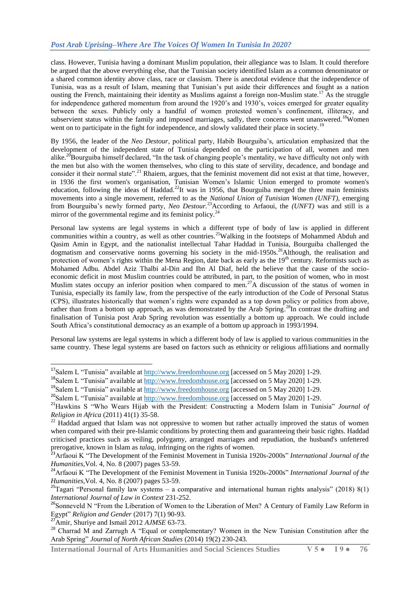class. However, Tunisia having a dominant Muslim population, their allegiance was to Islam. It could therefore be argued that the above everything else, that the Tunisian society identified Islam as a common denominator or a shared common identity above class, race or classism. There is anecdotal evidence that the independence of Tunisia, was as a result of Islam, meaning that Tunisian"s put aside their differences and fought as a nation ousting the French, maintaining their identity as Muslims against a foreign non-Muslim state.<sup>17</sup> As the struggle for independence gathered momentum from around the 1920"s and 1930"s, voices emerged for greater equality between the sexes. Publicly only a handful of women protested women"s confinement, illiteracy, and subservient status within the family and imposed marriages, sadly, there concerns went unanswered.<sup>18</sup>Women went on to participate in the fight for independence, and slowly validated their place in society.<sup>1</sup>

By 1956, the leader of the *Neo Destour*, political party, Habib Bourguiba"s, articulation emphasized that the development of the independent state of Tunisia depended on the participation of all, women and men alike.<sup>20</sup>Bourguiba himself declared, "In the task of changing people's mentality, we have difficulty not only with the men but also with the women themselves, who cling to this state of servility, decadence, and bondage and consider it their normal state".<sup>21</sup> Rhaiem, argues, that the feminist movement did not exist at that time, however, in 1936 the first women's organisation, Tunisian Women"s Islamic Union emerged to promote women's education, following the ideas of Haddad.<sup>22</sup>It was in 1956, that Bourguiba merged the three main feminists movements into a single movement, referred to as the *National Union of Tunisian Women (UNFT),* emerging from Bourguiba"s newly formed party, *Neo Destour.*<sup>23</sup>According to Arfaoui, the *(UNFT)* was and still is a mirror of the governmental regime and its feminist policy.<sup>24</sup>

Personal law systems are legal systems in which a different type of body of law is applied in different communities within a country, as well as other countries.<sup>25</sup>Walking in the footsteps of Mohammed Abduh and Qasim Amin in Egypt, and the nationalist intellectual Tahar Haddad in Tunisia, Bourguiba challenged the dogmatism and conservative norms governing his society in the mid-1950s.<sup>26</sup>Although, the realisation and protection of women's rights within the Mena Region, date back as early as the 19<sup>th</sup> century. Reformists such as Mohamed Adbu. Abdel Aziz Thalbi al-Din and Ibn Al Diaf, held the believe that the cause of the socioeconomic deficit in most Muslim countries could be attributed, in part, to the position of women, who in most Muslim states occupy an inferior position when compared to men.<sup>27</sup>A discussion of the status of women in Tunisia, especially its family law, from the perspective of the early introduction of the Code of Personal Status (CPS), illustrates historically that women"s rights were expanded as a top down policy or politics from above, rather than from a bottom up approach, as was demonstrated by the Arab Spring.<sup>28</sup>In contrast the drafting and finalisation of Tunisia post Arab Spring revolution was essentially a bottom up approach. We could include South Africa's constitutional democracy as an example of a bottom up approach in 1993/1994.

Personal law systems are legal systems in which a different body of law is applied to various communities in the same country. These legal systems are based on factors such as ethnicity or religious affiliations and normally

1

<sup>&</sup>lt;sup>17</sup>Salem L "Tunisia" available at [http://www.freedomhouse.org](http://www.freedomhouse.org/) [accessed on 5 May 2020] 1-29.

<sup>&</sup>lt;sup>18</sup>Salem L "Tunisia" available at [http://www.freedomhouse.org](http://www.freedomhouse.org/) [accessed on 5 May 2020] 1-29.

<sup>19</sup>Salem L "Tunisia" available at [http://www.freedomhouse.org](http://www.freedomhouse.org/) [accessed on 5 May 2020] 1-29.

<sup>&</sup>lt;sup>20</sup>Salem L "Tunisia" available at [http://www.freedomhouse.org](http://www.freedomhouse.org/) [accessed on 5 May 2020] 1-29.

<sup>&</sup>lt;sup>21</sup>Hawkins S "Who Wears Hijab with the President: Constructing a Modern Islam in Tunisia" *Journal of Religion in Africa* (2011) 41(1) 35-58.

 $22$  Haddad argued that Islam was not oppressive to women but rather actually improved the status of women when compared with their pre-Islamic conditions by protecting them and guaranteeing their basic rights. Haddad criticised practices such as veiling, polygamy, arranged marriages and repudiation, the husband's unfettered prerogative, known in Islam as *talaq*, infringing on the rights of women.

<sup>23</sup>Arfaoui K "The Development of the Feminist Movement in Tunisia 1920s-2000s" *International Journal of the Humanities,*Vol. 4, No. 8 (2007) pages 53-59.

<sup>&</sup>lt;sup>24</sup>Arfaoui K "The Development of the Feminist Movement in Tunisia 1920s-2000s" *International Journal of the Humanities,*Vol. 4, No. 8 (2007) pages 53-59.

<sup>&</sup>lt;sup>25</sup>Tagari "Personal family law systems – a comparative and international human rights analysis" (2018) 8(1) *International Journal of Law in Context* 231-252.

<sup>&</sup>lt;sup>26</sup>Sonneveld N "From the Liberation of Women to the Liberation of Men? A Century of Family Law Reform in Egypt" *Religion and Gender* (2017) 7(1) 90-93.

<sup>27</sup>Amir, Shuriye and Ismail 2012 *AJMSE* 63-73.

<sup>&</sup>lt;sup>28</sup> Charrad M and Zarrugh A "Equal or complementary? Women in the New Tunisian Constitution after the Arab Spring" *Journal of North African Studies* (2014) 19(2) 230-243.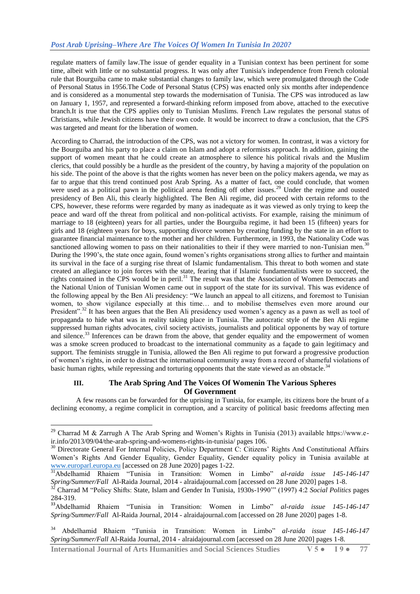regulate matters of family law.The issue of gender equality in a Tunisian context has been pertinent for some time, albeit with little or no substantial progress. It was only after Tunisia's independence from French colonial rule that Bourguiba came to make substantial changes to family law, which were promulgated through the Code of Personal Status in 1956.The Code of Personal Status (CPS) was enacted only six months after independence and is considered as a monumental step towards the modernisation of Tunisia. The CPS was introduced as law on January 1, 1957, and represented a forward-thinking reform imposed from above, attached to the executive branch.It is true that the CPS applies only to Tunisian Muslims. French Law regulates the personal status of Christians, while Jewish citizens have their own code. It would be incorrect to draw a conclusion, that the CPS was targeted and meant for the liberation of women.

According to Charrad, the introduction of the CPS, was not a victory for women. In contrast, it was a victory for the Bourguiba and his party to place a claim on Islam and adopt a reformists approach. In addition, gaining the support of women meant that he could create an atmosphere to silence his political rivals and the Muslim clerics, that could possibly be a hurdle as the president of the country, by having a majority of the population on his side. The point of the above is that the rights women has never been on the policy makers agenda, we may as far to argue that this trend continued post Arab Spring. As a matter of fact, one could conclude, that women were used as a political pawn in the political arena fending off other issues.<sup>29</sup> Under the regime and ousted presidency of Ben Ali, this clearly highlighted. The Ben Ali regime, did proceed with certain reforms to the CPS, however, these reforms were regarded by many as inadequate as it was viewed as only trying to keep the peace and ward off the threat from political and non-political activists. For example, raising the minimum of marriage to 18 (eighteen) years for all parties, under the Bourguiba regime, it had been 15 (fifteen) years for girls and 18 (eighteen years for boys, supporting divorce women by creating funding by the state in an effort to guarantee financial maintenance to the mother and her children. Furthermore, in 1993, the Nationality Code was sanctioned allowing women to pass on their nationalities to their if they were married to non-Tunisian men.<sup>3</sup> During the 1990"s, the state once again, found women"s rights organisations strong allies to further and maintain its survival in the face of a surging rise threat of Islamic fundamentalism. This threat to both women and state created an allegiance to join forces with the state, fearing that if Islamic fundamentalists were to succeed, the rights contained in the CPS would be in peril.<sup>31</sup> The result was that the Association of Women Democrats and the National Union of Tunisian Women came out in support of the state for its survival. This was evidence of the following appeal by the Ben Ali presidency: "We launch an appeal to all citizens, and foremost to Tunisian women, to show vigilance especially at this time… and to mobilise themselves even more around our President".<sup>32</sup> It has been argues that the Ben Ali presidency used women's agency as a pawn as well as tool of propaganda to hide what was in reality taking place in Tunisia. The autocratic style of the Ben Ali regime suppressed human rights advocates, civil society activists, journalists and political opponents by way of torture and silence.<sup>33</sup> Inferences can be drawn from the above, that gender equality and the empowerment of women was a smoke screen produced to broadcast to the international community as a façade to gain legitimacy and support. The feminists struggle in Tunisia, allowed the Ben Ali regime to put forward a progressive production of women"s rights, in order to distract the international community away from a record of shameful violations of basic human rights, while repressing and torturing opponents that the state viewed as an obstacle.<sup>3</sup>

# **III. The Arab Spring And The Voices Of Womenin The Various Spheres Of Government**

A few reasons can be forwarded for the uprising in Tunisia, for example, its citizens bore the brunt of a declining economy, a regime complicit in corruption, and a scarcity of political basic freedoms affecting men

**International Journal of Arts Humanities and Social Sciences Studies V 5 ● I 9 ● 77**

**.** 

<sup>&</sup>lt;sup>29</sup> Charrad M & Zarrugh A The Arab Spring and Women's Rights in Tunisia (2013) available https://www.eir.info/2013/09/04/the-arab-spring-and-womens-rights-in-tunisia/ pages 106.

<sup>&</sup>lt;sup>30</sup> Directorate General For Internal Policies, Policy Department C: Citizens' Rights And Constitutional Affairs Women"s Rights And Gender Equality, Gender Equality, Gender equality policy in Tunisia available at [www.europarl.europa.eu](http://www.europarl.europa.eu/) [accessed on 28 June 2020] pages 1-22.

<sup>31</sup>Abdelhamid Rhaiem "Tunisia in Transition: Women in Limbo" *al-raida issue 145-146-147 Spring/Summer/Fall* Al-Raida Journal, 2014 - alraidajournal.com [accessed on 28 June 2020] pages 1-8.

<sup>32</sup> Charrad M "Policy Shifts: State, Islam and Gender In Tunisia, 1930s-1990"" (1997) 4:2 *Social Politics* pages 284-319.

<sup>33</sup>Abdelhamid Rhaiem "Tunisia in Transition: Women in Limbo" *al-raida issue 145-146-147 Spring/Summer/Fall* Al-Raida Journal, 2014 - alraidajournal.com [accessed on 28 June 2020] pages 1-8.

<sup>34</sup> Abdelhamid Rhaiem "Tunisia in Transition: Women in Limbo" *al-raida issue 145-146-147 Spring/Summer/Fall* Al-Raida Journal, 2014 - alraidajournal.com [accessed on 28 June 2020] pages 1-8.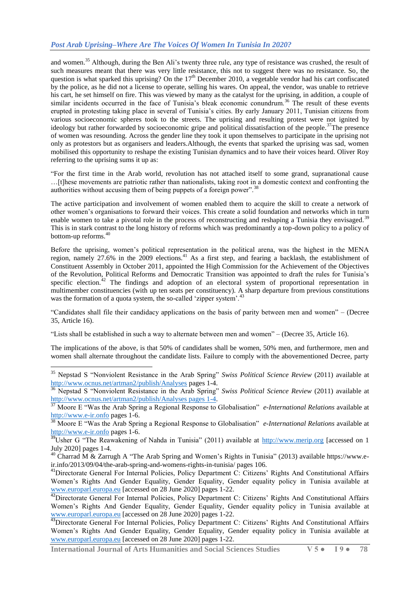and women.<sup>35</sup> Although, during the Ben Ali's twenty three rule, any type of resistance was crushed, the result of such measures meant that there was very little resistance, this not to suggest there was no resistance. So, the question is what sparked this uprising? On the  $17<sup>th</sup>$  December 2010, a vegetable vendor had his cart confiscated by the police, as he did not a license to operate, selling his wares. On appeal, the vendor, was unable to retrieve his cart, he set himself on fire. This was viewed by many as the catalyst for the uprising, in addition, a couple of similar incidents occurred in the face of Tunisia's bleak economic conundrum.<sup>36</sup> The result of these events erupted in protesting taking place in several of Tunisia"s cities. By early January 2011, Tunisian citizens from various socioeconomic spheres took to the streets. The uprising and resulting protest were not ignited by ideology but rather forwarded by socioeconomic gripe and political dissatisfaction of the people.<sup>37</sup>The presence of women was resounding. Across the gender line they took it upon themselves to participate in the uprising not only as protestors but as organisers and leaders.Although, the events that sparked the uprising was sad, women mobilised this opportunity to reshape the existing Tunisian dynamics and to have their voices heard. Oliver Roy referring to the uprising sums it up as:

"For the first time in the Arab world, revolution has not attached itself to some grand, supranational cause …[t]hese movements are patriotic rather than nationalists, taking root in a domestic context and confronting the authorities without accusing them of being puppets of a foreign power".<sup>38</sup>

The active participation and involvement of women enabled them to acquire the skill to create a network of other women"s organisations to forward their voices. This create a solid foundation and networks which in turn enable women to take a pivotal role in the process of reconstructing and reshaping a Tunisia they envisaged.<sup>39</sup> This is in stark contrast to the long history of reforms which was predominantly a top-down policy to a policy of bottom-up reforms.<sup>40</sup>

Before the uprising, women"s political representation in the political arena, was the highest in the MENA region, namely 27.6% in the 2009 elections.<sup>41</sup> As a first step, and fearing a backlash, the establishment of Constituent Assembly in October 2011, appointed the High Commission for the Achievement of the Objectives of the Revolution, Political Reforms and Democratic Transition was appointed to draft the rules for Tunisia"s specific election.<sup>42</sup> The findings and adoption of an electoral system of proportional representation in multimember constituencies (with up ten seats per constituency). A sharp departure from previous constitutions was the formation of a quota system, the so-called 'zipper system'.<sup>43</sup>

"Candidates shall file their candidacy applications on the basis of parity between men and women" – (Decree 35, Article 16).

"Lists shall be established in such a way to alternate between men and women" – (Decree 35, Article 16).

**.** 

The implications of the above, is that 50% of candidates shall be women, 50% men, and furthermore, men and women shall alternate throughout the candidate lists. Failure to comply with the abovementioned Decree, party

<sup>35</sup> Nepstad S "Nonviolent Resistance in the Arab Spring" *Swiss Political Science Review* (2011) available at <http://www.ocnus.net/artman2/publish/Analyses> pages 1-4.

<sup>36</sup> Nepstad S "Nonviolent Resistance in the Arab Spring" *Swiss Political Science Review* (2011) available at [http://www.ocnus.net/artman2/publish/Analyses pages 1-4.](http://www.ocnus.net/artman2/publish/Analyses%20pages%201-4) 

<sup>37</sup> Moore E "Was the Arab Spring a Regional Response to Globalisation" *e-International Relations* available at [http://www.e-ir.onfo](http://www.e-ir.onfo/) pages 1-6.

<sup>38</sup> Moore E "Was the Arab Spring a Regional Response to Globalisation" *e-International Relations* available at [http://www.e-ir.onfo](http://www.e-ir.onfo/) pages 1-6.

 $39$ Usher G "The Reawakening of Nahda in Tunisia" (2011) available at [http://www.merip.org](http://www.merip.org/) [accessed on 1 July 2020] pages 1-4.

<sup>&</sup>lt;sup>40</sup> Charrad M & Zarrugh A "The Arab Spring and Women's Rights in Tunisia" (2013) available https://www.eir.info/2013/09/04/the-arab-spring-and-womens-rights-in-tunisia/ pages 106.

<sup>&</sup>lt;sup>41</sup>Directorate General For Internal Policies, Policy Department C: Citizens' Rights And Constitutional Affairs Women"s Rights And Gender Equality, Gender Equality, Gender equality policy in Tunisia available at [www.europarl.europa.eu](http://www.europarl.europa.eu/) [accessed on 28 June 2020] pages 1-22.

<sup>&</sup>lt;sup>42</sup>Directorate General For Internal Policies, Policy Department C: Citizens' Rights And Constitutional Affairs Women's Rights And Gender Equality, Gender Equality, Gender equality policy in Tunisia available at [www.europarl.europa.eu](http://www.europarl.europa.eu/) [accessed on 28 June 2020] pages 1-22.

<sup>&</sup>lt;sup>43</sup>Directorate General For Internal Policies, Policy Department C: Citizens' Rights And Constitutional Affairs Women"s Rights And Gender Equality, Gender Equality, Gender equality policy in Tunisia available at [www.europarl.europa.eu](http://www.europarl.europa.eu/) [accessed on 28 June 2020] pages 1-22.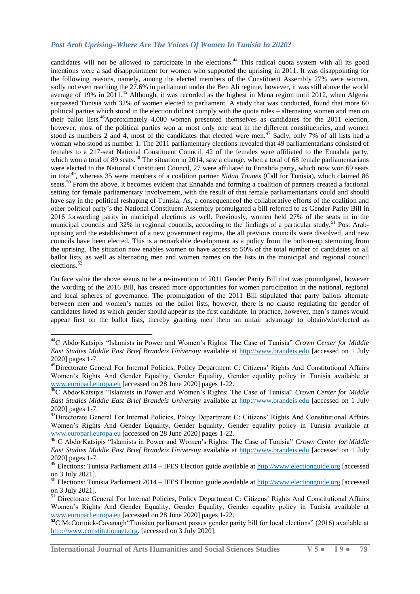# *Post Arab Uprising–Where Are The Voices Of Women In Tunisia In 2020?*

candidates will not be allowed to participate in the elections.<sup>44</sup> This radical quota system with all its good intentions were a sad disappointment for women who supported the uprising in 2011. It was disappointing for the following reasons, namely, among the elected members of the Constituent Assembly 27% were women, sadly not even reaching the 27.6% in parliament under the Ben Ali regime, however, it was still above the world average of 19% in 2011.<sup>45</sup> Although, it was recorded as the highest in Mena region until 2012, when Algeria surpassed Tunisia with 32% of women elected to parliament. A study that was conducted, found that more 60 political parties which stood in the election did not comply with the quota rules – alternating women and men on their ballot lists.<sup>46</sup>Approximately 4,000 women presented themselves as candidates for the 2011 election, however, most of the political parties won at most only one seat in the different constituencies, and women stood as numbers 2 and 4, most of the candidates that elected were men.<sup>47</sup> Sadly, only 7% of all lists had a woman who stood as number 1. The 2011 parliamentary elections revealed that 49 parliamentarians consisted of females to a 217-seat National Constituent Council, 42 of the females were affiliated to the Ennahda party, which won a total of 89 seats.<sup>48</sup> The situation in 2014, saw a change, when a total of 68 female parliamentarians were elected to the National Constituent Council, 27 were affiliated to Ennahda party, which now won 69 seats in total<sup>49</sup>, whereas 35 were members of a coalition partner *Nidaa Tounes* (Call for Tunisia), which claimed 86 seats.<sup>50</sup> From the above, it becomes evident that Ennahda and forming a coalition of partners created a factional setting for female parliamentary involvement, with the result of that female parliamentarians could and should have say in the political reshaping of Tunisia. As, a consequenceof the collaborative efforts of the coalition and other political party"s the National Constituent Assembly promulgated a bill referred to as Gender Parity Bill in 2016 forwarding parity in municipal elections as well. Previously, women held 27% of the seats in in the municipal councils and 32% in regional councils, according to the findings of a particular study.<sup>51</sup> Post Arabuprising and the establishment of a new government regime, the all previous councils were dissolved, and new councils have been elected. This is a remarkable development as a policy from the bottom-up stemming from the uprising. The situation now enables women to have access to 50% of the total number of candidates on all ballot lists, as well as alternating men and women names on the lists in the municipal and regional council elections.<sup>52</sup>

On face value the above seems to be a re-invention of 2011 Gender Parity Bill that was promulgated, however the wording of the 2016 Bill, has created more opportunities for women participation in the national, regional and local spheres of governance. The promulgation of the 2011 Bill stipulated that party ballots alternate between men and women"s names on the ballot lists, however, there is no clause regulating the gender of candidates listed as which gender should appear as the first candidate. In practice, however, men"s names would appear first on the ballot lists, thereby granting men them an unfair advantage to obtain/win/elected as

**International Journal of Arts Humanities and Social Sciences Studies V 5 ● I 9 ● 79**

**.** 

<sup>44</sup>C Abdo Katsipis "Islamists in Power and Women"s Rights: The Case of Tunisia" *Crown Center for Middle East Studies Middle East Brief Brandeis University* available at [http://www.brandeis.edu](http://www.brandeis.edu/) [accessed on 1 July 2020] pages 1-7.

<sup>&</sup>lt;sup>45</sup>Directorate General For Internal Policies, Policy Department C: Citizens' Rights And Constitutional Affairs Women"s Rights And Gender Equality, Gender Equality, Gender equality policy in Tunisia available at [www.europarl.europa.eu](http://www.europarl.europa.eu/) [accessed on 28 June 2020] pages 1-22.

<sup>46</sup>C Abdo Katsipis "Islamists in Power and Women"s Rights: The Case of Tunisia" *Crown Center for Middle East Studies Middle East Brief Brandeis University* available at [http://www.brandeis.edu](http://www.brandeis.edu/) [accessed on 1 July 2020] pages 1-7.

<sup>&</sup>lt;sup>47</sup>Directorate General For Internal Policies, Policy Department C: Citizens' Rights And Constitutional Affairs Women"s Rights And Gender Equality, Gender Equality, Gender equality policy in Tunisia available at [www.europarl.europa.eu](http://www.europarl.europa.eu/) [accessed on 28 June 2020] pages 1-22.

<sup>48</sup> C Abdo Katsipis "Islamists in Power and Women"s Rights: The Case of Tunisia" *Crown Center for Middle East Studies Middle East Brief Brandeis University* available at [http://www.brandeis.edu](http://www.brandeis.edu/) [accessed on 1 July 2020] pages 1-7.

<sup>&</sup>lt;sup>49</sup> Elections: Tunisia Parliament 2014 – IFES Election guide available at [http://www.electionguide.org](http://www.electionguide.org/) [accessed on 3 July 2021].

<sup>50</sup> Elections: Tunisia Parliament 2014 – IFES Election guide available at [http://www.electionguide.org](http://www.electionguide.org/) [accessed on 3 July 2021].

<sup>&</sup>lt;sup>51</sup> Directorate General For Internal Policies, Policy Department C: Citizens' Rights And Constitutional Affairs Women's Rights And Gender Equality, Gender Equality, Gender equality policy in Tunisia available at [www.europarl.europa.eu](http://www.europarl.europa.eu/) [accessed on 28 June 2020] pages 1-22.

<sup>&</sup>lt;sup>52</sup>C McCormick-Cavanagh"Tunisian parliament passes gender parity bill for local elections" (2016) available at [http://www.constitutionnet.org.](http://www.constitutionnet.org/) [accessed on 3 July 2020].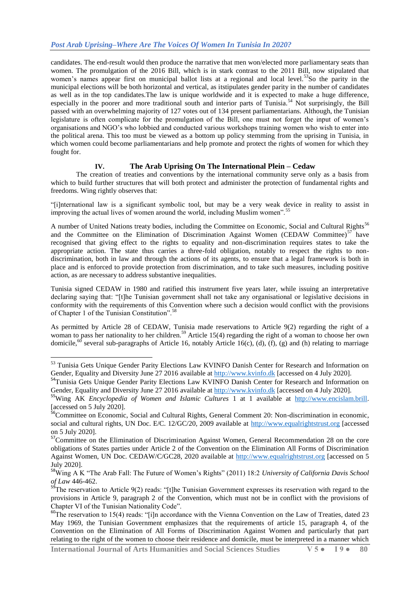candidates. The end-result would then produce the narrative that men won/elected more parliamentary seats than women. The promulgation of the 2016 Bill, which is in stark contrast to the 2011 Bill, now stipulated that women's names appear first on municipal ballot lists at a regional and local level.<sup>53</sup>So the parity in the municipal elections will be both horizontal and vertical, as itstipulates gender parity in the number of candidates as well as in the top candidates.The law is unique worldwide and it is expected to make a huge difference, especially in the poorer and more traditional south and interior parts of Tunisia.<sup>54</sup> Not surprisingly, the Bill passed with an overwhelming majority of 127 votes out of 134 present parliamentarians. Although, the Tunisian legislature is often complicate for the promulgation of the Bill, one must not forget the input of women"s organisations and NGO"s who lobbied and conducted various workshops training women who wish to enter into the political arena. This too must be viewed as a bottom up policy stemming from the uprising in Tunisia, in which women could become parliamentarians and help promote and protect the rights of women for which they fought for.

## **IV. The Arab Uprising On The International Plein – Cedaw**

The creation of treaties and conventions by the international community serve only as a basis from which to build further structures that will both protect and administer the protection of fundamental rights and freedoms. Wing rightly observes that:

"[i]nternational law is a significant symbolic tool, but may be a very weak device in reality to assist in improving the actual lives of women around the world, including Muslim women".<sup>55</sup>

A number of United Nations treaty bodies, including the Committee on Economic, Social and Cultural Rights<sup>56</sup> and the Committee on the Elimination of Discrimination Against Women (CEDAW Committee)<sup>57</sup> have recognised that giving effect to the rights to equality and non-discrimination requires states to take the appropriate action. The state thus carries a three-fold obligation, notably to respect the rights to nondiscrimination, both in law and through the actions of its agents, to ensure that a legal framework is both in place and is enforced to provide protection from discrimination, and to take such measures, including positive action, as are necessary to address substantive inequalities.

Tunisia signed CEDAW in 1980 and ratified this instrument five years later, while issuing an interpretative declaring saying that: "[t]he Tunisian government shall not take any organisational or legislative decisions in conformity with the requirements of this Convention where such a decision would conflict with the provisions of Chapter 1 of the Tunisian Constitution".<sup>58</sup>

As permitted by Article 28 of CEDAW, Tunisia made reservations to Article 9(2) regarding the right of a woman to pass her nationality to her children.<sup>59</sup> Article 15(4) regarding the right of a woman to choose her own domicile,<sup>60</sup> several sub-paragraphs of Article 16, notably Article 16(c), (d), (f), (g) and (h) relating to marriage

**.** 

<sup>53</sup> Tunisia Gets Unique Gender Parity Elections Law KVINFO Danish Center for Research and Information on Gender, Equality and Diversity June 27 2016 available a[t http://www.kvinfo.dk](http://www.kvinfo.dk/) [accessed on 4 July 2020].

<sup>&</sup>lt;sup>54</sup>Tunisia Gets Unique Gender Parity Elections Law KVINFO Danish Center for Research and Information on Gender, Equality and Diversity June 27 2016 available a[t http://www.kvinfo.dk](http://www.kvinfo.dk/) [accessed on 4 July 2020].

<sup>55</sup>Wing AK *Encyclopedia of Women and Islamic Cultures* 1 at 1 available at [http://www.encislam.brill.](http://www.encislam.brill/) [accessed on 5 July 2020].

<sup>&</sup>lt;sup>56</sup>Committee on Economic, Social and Cultural Rights, General Comment 20: Non-discrimination in economic, social and cultural rights, UN Doc. E/C. 12/GC/20, 2009 available at [http://www.equalrightstrust.org](http://www.equalrightstrust.org/) [accessed on 5 July 2020].

<sup>&</sup>lt;sup>57</sup>Committee on the Elimination of Discrimination Against Women, General Recommendation 28 on the core obligations of States parties under Article 2 of the Convention on the Elimination All Forms of Discrimination Against Women, UN Doc. CEDAW/C/GC28, 2020 available at [http://www.equalrightstrust.org](http://www.equalrightstrust.org/) [accessed on 5 July 2020].

<sup>58</sup>Wing A K "The Arab Fall: The Future of Women"s Rights" (2011) 18:2 *University of California Davis School of Law* 446-462.

 $59$ The reservation to Article 9(2) reads: "[t]he Tunisian Government expresses its reservation with regard to the provisions in Article 9, paragraph 2 of the Convention, which must not be in conflict with the provisions of Chapter VI of the Tunisian Nationality Code".

<sup>&</sup>lt;sup>60</sup>The reservation to 15(4) reads: "[i]n accordance with the Vienna Convention on the Law of Treaties, dated 23 May 1969, the Tunisian Government emphasizes that the requirements of article 15, paragraph 4, of the Convention on the Elimination of All Forms of Discrimination Against Women and particularly that part relating to the right of the women to choose their residence and domicile, must be interpreted in a manner which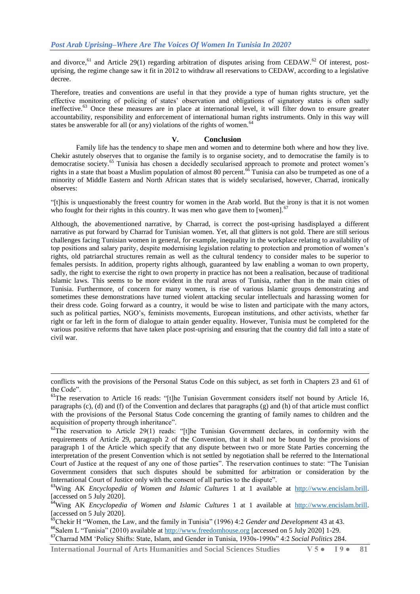and divorce, <sup>61</sup> and Article 29(1) regarding arbitration of disputes arising from CEDAW.<sup>62</sup> Of interest, postuprising, the regime change saw it fit in 2012 to withdraw all reservations to CEDAW, according to a legislative decree.

Therefore, treaties and conventions are useful in that they provide a type of human rights structure, yet the effective monitoring of policing of states' observation and obligations of signatory states is often sadly ineffective.<sup>63</sup> Once these measures are in place at international level, it will filter down to ensure greater accountability, responsibility and enforcement of international human rights instruments. Only in this way will states be answerable for all (or any) violations of the rights of women.<sup>64</sup>

#### **V. Conclusion**

Family life has the tendency to shape men and women and to determine both where and how they live. Chekir astutely observes that to organise the family is to organise society, and to democratise the family is to democratise society.<sup>65</sup> Tunisia has chosen a decidedly secularised approach to promote and protect women's rights in a state that boast a Muslim population of almost 80 percent.<sup>66</sup> Tunisia can also be trumpeted as one of a minority of Middle Eastern and North African states that is widely secularised, however, Charrad, ironically observes:

"[t]his is unquestionably the freest country for women in the Arab world. But the irony is that it is not women who fought for their rights in this country. It was men who gave them to [women].<sup>67</sup>

Although, the abovementioned narrative, by Charrad, is correct the post-uprising hasdisplayed a different narrative as put forward by Charrad for Tunisian women. Yet, all that glitters is not gold. There are still serious challenges facing Tunisian women in general, for example, inequality in the workplace relating to availability of top positions and salary parity, despite modernising legislation relating to protection and promotion of women"s rights, old patriarchal structures remain as well as the cultural tendency to consider males to be superior to females persists. In addition, property rights although, guaranteed by law enabling a woman to own property, sadly, the right to exercise the right to own property in practice has not been a realisation, because of traditional Islamic laws. This seems to be more evident in the rural areas of Tunisia, rather than in the main cities of Tunisia. Furthermore, of concern for many women, is rise of various Islamic groups demonstrating and sometimes these demonstrations have turned violent attacking secular intellectuals and harassing women for their dress code. Going forward as a country, it would be wise to listen and participate with the many actors, such as political parties, NGO"s, feminists movements, European institutions, and other activists, whether far right or far left in the form of dialogue to attain gender equality. However, Tunisia must be completed for the various positive reforms that have taken place post-uprising and ensuring that the country did fall into a state of civil war.

**International Journal of Arts Humanities and Social Sciences Studies V 5 ● I 9 ● 81**

 $\overline{a}$ 

conflicts with the provisions of the Personal Status Code on this subject, as set forth in Chapters 23 and 61 of the Code".

<sup>&</sup>lt;sup>61</sup>The reservation to Article 16 reads: "[t]he Tunisian Government considers itself not bound by Article 16, paragraphs (c), (d) and (f) of the Convention and declares that paragraphs (g) and (h) of that article must conflict with the provisions of the Personal Status Code concerning the granting of family names to children and the acquisition of property through inheritance".

 $62$ The reservation to Article 29(1) reads: "[t]he Tunisian Government declares, in conformity with the requirements of Article 29, paragraph 2 of the Convention, that it shall not be bound by the provisions of paragraph 1 of the Article which specify that any dispute between two or more State Parties concerning the interpretation of the present Convention which is not settled by negotiation shall be referred to the International Court of Justice at the request of any one of those parties". The reservation continues to state: "The Tunisian Government considers that such disputes should be submitted for arbitration or consideration by the International Court of Justice only with the consent of all parties to the dispute".

<sup>&</sup>lt;sup>63</sup>Wing AK *Encyclopedia of Women and Islamic Cultures* 1 at 1 available at [http://www.encislam.brill.](http://www.encislam.brill/) [accessed on 5 July 2020].

<sup>64</sup>Wing AK *Encyclopedia of Women and Islamic Cultures* 1 at 1 available at [http://www.encislam.brill.](http://www.encislam.brill/) [accessed on 5 July 2020].

<sup>65</sup>Chekir H "Women, the Law, and the family in Tunisia" (1996) 4:2 *Gender and Development* 43 at 43.

<sup>&</sup>lt;sup>66</sup>Salem L "Tunisia" (2010) available at [http://www.freedomhouse.org](http://www.freedomhouse.org/) [accessed on 5 July 2020] 1-29.

<sup>67</sup>Charrad MM "Policy Shifts: State, Islam, and Gender in Tunisia, 1930s-1990s" 4:2 *Social Politics* 284.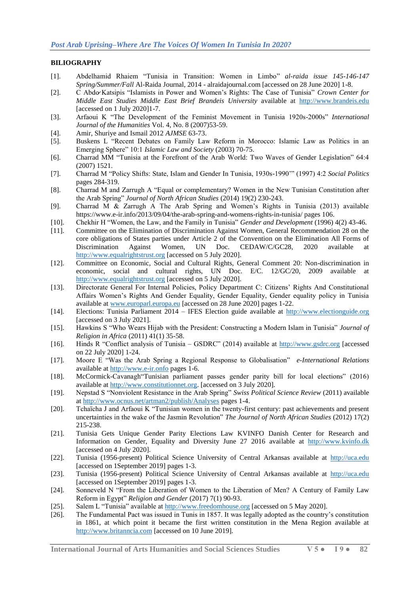# **BILIOGRAPHY**

- [1]. Abdelhamid Rhaiem "Tunisia in Transition: Women in Limbo" *al-raida issue 145-146-147 Spring/Summer/Fall* Al-Raida Journal, 2014 - alraidajournal.com [accessed on 28 June 2020] 1-8.
- [2]. C Abdo Katsipis "Islamists in Power and Women"s Rights: The Case of Tunisia" *Crown Center for Middle East Studies Middle East Brief Brandeis University* available at [http://www.brandeis.edu](http://www.brandeis.edu/) [accessed on 1 July 2020]1-7.
- [3]. Arfaoui K "The Development of the Feminist Movement in Tunisia 1920s-2000s" *International Journal of the Humanities* Vol. 4, No. 8 (2007)53-59.
- [4]. Amir, Shuriye and Ismail 2012 *AJMSE* 63-73.
- [5]. Buskens L "Recent Debates on Family Law Reform in Morocco: Islamic Law as Politics in an Emerging Sphere" 10:1 *Islamic Law and Society* (2003) 70-75.
- [6]. Charrad MM "Tunisia at the Forefront of the Arab World: Two Waves of Gender Legislation" 64:4 (2007) 1521.
- [7]. Charrad M "Policy Shifts: State, Islam and Gender In Tunisia, 1930s-1990"" (1997) 4:2 *Social Politics*  pages 284-319.
- [8]. Charrad M and Zarrugh A "Equal or complementary? Women in the New Tunisian Constitution after the Arab Spring" *Journal of North African Studies* (2014) 19(2) 230-243.
- [9]. Charrad M & Zarrugh A The Arab Spring and Women"s Rights in Tunisia (2013) available https://www.e-ir.info/2013/09/04/the-arab-spring-and-womens-rights-in-tunisia/ pages 106.
- [10]. Chekhir H "Women, the Law, and the Family in Tunisia" *Gender and Development* (1996) 4(2) 43-46.
- [11]. Committee on the Elimination of Discrimination Against Women, General Recommendation 28 on the core obligations of States parties under Article 2 of the Convention on the Elimination All Forms of Discrimination Against Women, UN Doc. CEDAW/C/GC28, 2020 available at [http://www.equalrightstrust.org](http://www.equalrightstrust.org/) [accessed on 5 July 2020].
- [12]. Committee on Economic, Social and Cultural Rights, General Comment 20: Non-discrimination in economic, social and cultural rights, UN Doc. E/C. 12/GC/20, 2009 available at [http://www.equalrightstrust.org](http://www.equalrightstrust.org/) [accessed on 5 July 2020].
- [13]. Directorate General For Internal Policies, Policy Department C: Citizens" Rights And Constitutional Affairs Women"s Rights And Gender Equality, Gender Equality, Gender equality policy in Tunisia available at [www.europarl.europa.eu](http://www.europarl.europa.eu/) [accessed on 28 June 2020] pages 1-22.
- [14]. Elections: Tunisia Parliament 2014 IFES Election guide available at [http://www.electionguide.org](http://www.electionguide.org/) [accessed on 3 July 2021].
- [15]. Hawkins S "Who Wears Hijab with the President: Constructing a Modern Islam in Tunisia" *Journal of Religion in Africa* (2011) 41(1) 35-58.
- [16]. Hinds R "Conflict analysis of Tunisia GSDRC" (2014) available at [http://www.gsdrc.org](http://www.gsdrc.org/) [accessed on 22 July 2020] 1-24.
- [17]. Moore E "Was the Arab Spring a Regional Response to Globalisation" *e-International Relations*  available at [http://www.e-ir.onfo](http://www.e-ir.onfo/) pages 1-6.
- [18]. McCormick-Cavanagh"Tunisian parliament passes gender parity bill for local elections" (2016) available at [http://www.constitutionnet.org.](http://www.constitutionnet.org/) [accessed on 3 July 2020].
- [19]. Nepstad S "Nonviolent Resistance in the Arab Spring" *Swiss Political Science Review* (2011) available a[t http://www.ocnus.net/artman2/publish/Analyses](http://www.ocnus.net/artman2/publish/Analyses) pages 1-4.
- [20]. Tchaïcha J and Arfaoui K "Tunisian women in the twenty-first century: past achievements and present uncertainties in the wake of the Jasmin Revolution" *The Journal of North African Studies* (2012) 17(2) 215-238.
- [21]. Tunisia Gets Unique Gender Parity Elections Law KVINFO Danish Center for Research and Information on Gender, Equality and Diversity June 27 2016 available at [http://www.kvinfo.dk](http://www.kvinfo.dk/) [accessed on 4 July 2020].
- [22]. Tunisia (1956-present) Political Science University of Central Arkansas available at [http://uca.edu](http://uca.edu/) [accessed on 1September 2019] pages 1-3.
- [23]. Tunisia (1956-present) Political Science University of Central Arkansas available at [http://uca.edu](http://uca.edu/) [accessed on 1September 2019] pages 1-3.
- [24]. Sonneveld N "From the Liberation of Women to the Liberation of Men? A Century of Family Law Reform in Egypt" *Religion and Gender* (2017) 7(1) 90-93.
- [25]. Salem L "Tunisia" available at [http://www.freedomhouse.org](http://www.freedomhouse.org/) [accessed on 5 May 2020].
- [26]. The Fundamental Pact was issued in Tunis in 1857. It was legally adopted as the country"s constitution in 1861, at which point it became the first written constitution in the Mena Region available at [http://www.britanncia.com](http://www.britanncia.com/) [accessed on 10 June 2019].